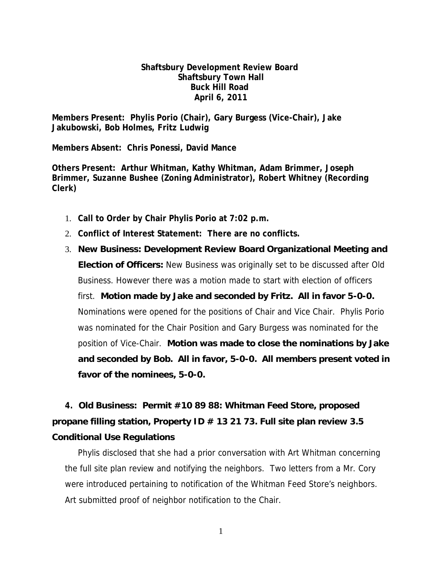## **Shaftsbury Development Review Board Shaftsbury Town Hall Buck Hill Road April 6, 2011**

**Members Present: Phylis Porio (Chair), Gary Burgess (Vice-Chair), Jake Jakubowski, Bob Holmes, Fritz Ludwig**

**Members Absent: Chris Ponessi, David Mance**

**Others Present: Arthur Whitman, Kathy Whitman, Adam Brimmer, Joseph Brimmer, Suzanne Bushee (Zoning Administrator), Robert Whitney (Recording Clerk)**

- 1. **Call to Order by Chair Phylis Porio at 7:02 p.m.**
- 2. **Conflict of Interest Statement: There are no conflicts.**
- 3. **New Business: Development Review Board Organizational Meeting and Election of Officers:** New Business was originally set to be discussed after Old Business. However there was a motion made to start with election of officers first. **Motion made by Jake and seconded by Fritz. All in favor 5-0-0.** Nominations were opened for the positions of Chair and Vice Chair. Phylis Porio was nominated for the Chair Position and Gary Burgess was nominated for the position of Vice-Chair. **Motion was made to close the nominations by Jake and seconded by Bob. All in favor, 5-0-0. All members present voted in favor of the nominees, 5-0-0.**

## **4. Old Business: Permit #10 89 88: Whitman Feed Store, proposed propane filling station, Property ID # 13 21 73. Full site plan review 3.5 Conditional Use Regulations**

Phylis disclosed that she had a prior conversation with Art Whitman concerning the full site plan review and notifying the neighbors. Two letters from a Mr. Cory were introduced pertaining to notification of the Whitman Feed Store's neighbors. Art submitted proof of neighbor notification to the Chair.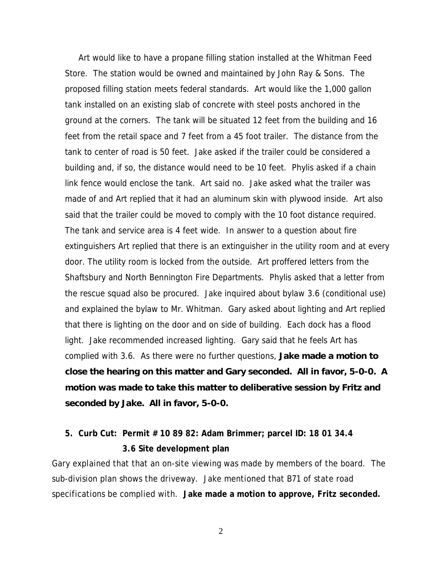Art would like to have a propane filling station installed at the Whitman Feed Store. The station would be owned and maintained by John Ray & Sons. The proposed filling station meets federal standards. Art would like the 1,000 gallon tank installed on an existing slab of concrete with steel posts anchored in the ground at the corners. The tank will be situated 12 feet from the building and 16 feet from the retail space and 7 feet from a 45 foot trailer. The distance from the tank to center of road is 50 feet. Jake asked if the trailer could be considered a building and, if so, the distance would need to be 10 feet. Phylis asked if a chain link fence would enclose the tank. Art said no. Jake asked what the trailer was made of and Art replied that it had an aluminum skin with plywood inside. Art also said that the trailer could be moved to comply with the 10 foot distance required. The tank and service area is 4 feet wide. In answer to a question about fire extinguishers Art replied that there is an extinguisher in the utility room and at every door. The utility room is locked from the outside. Art proffered letters from the Shaftsbury and North Bennington Fire Departments. Phylis asked that a letter from the rescue squad also be procured. Jake inquired about bylaw 3.6 (conditional use) and explained the bylaw to Mr. Whitman. Gary asked about lighting and Art replied that there is lighting on the door and on side of building. Each dock has a flood light. Jake recommended increased lighting. Gary said that he feels Art has complied with 3.6. As there were no further questions, **Jake made a motion to close the hearing on this matter and Gary seconded. All in favor, 5-0-0. A motion was made to take this matter to deliberative session by Fritz and seconded by Jake. All in favor, 5-0-0.**

## **5. Curb Cut: Permit # 10 89 82: Adam Brimmer; parcel ID: 18 01 34.4 3.6 Site development plan**

Gary explained that that an on-site viewing was made by members of the board. The sub-division plan shows the driveway. Jake mentioned that B71 of state road specifications be complied with. **Jake made a motion to approve, Fritz seconded.**

2